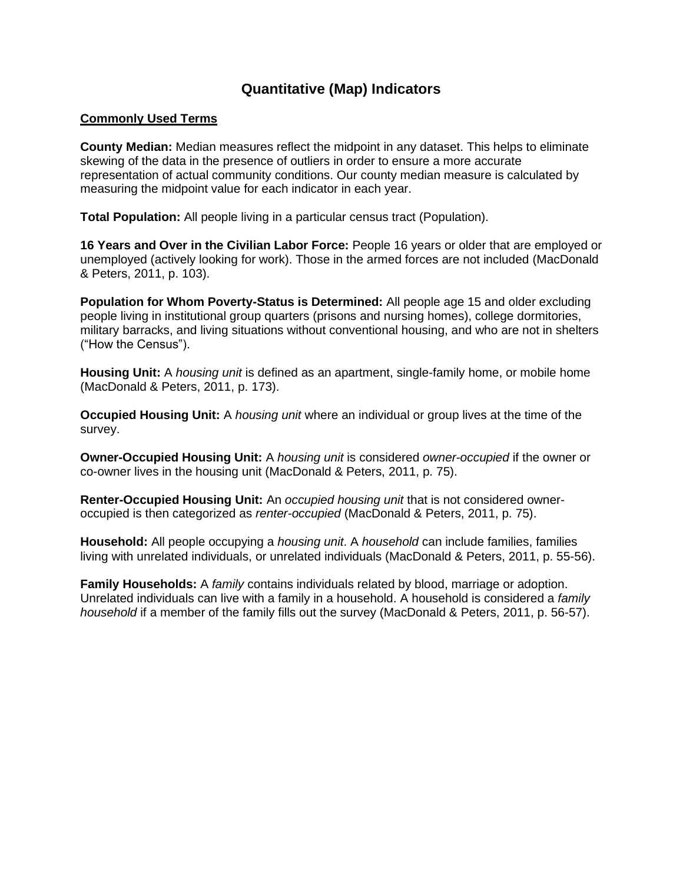## **Quantitative (Map) Indicators**

## **Commonly Used Terms**

**County Median:** Median measures reflect the midpoint in any dataset. This helps to eliminate skewing of the data in the presence of outliers in order to ensure a more accurate representation of actual community conditions. Our county median measure is calculated by measuring the midpoint value for each indicator in each year.

**Total Population:** All people living in a particular census tract (Population).

**16 Years and Over in the Civilian Labor Force:** People 16 years or older that are employed or unemployed (actively looking for work). Those in the armed forces are not included (MacDonald & Peters, 2011, p. 103).

**Population for Whom Poverty-Status is Determined:** All people age 15 and older excluding people living in institutional group quarters (prisons and nursing homes), college dormitories, military barracks, and living situations without conventional housing, and who are not in shelters ("How the Census").

**Housing Unit:** A *housing unit* is defined as an apartment, single-family home, or mobile home (MacDonald & Peters, 2011, p. 173).

**Occupied Housing Unit:** A *housing unit* where an individual or group lives at the time of the survey.

**Owner-Occupied Housing Unit:** A *housing unit* is considered *owner-occupied* if the owner or co-owner lives in the housing unit (MacDonald & Peters, 2011, p. 75).

**Renter-Occupied Housing Unit:** An *occupied housing unit* that is not considered owneroccupied is then categorized as *renter-occupied* (MacDonald & Peters, 2011, p. 75).

**Household:** All people occupying a *housing unit*. A *household* can include families, families living with unrelated individuals, or unrelated individuals (MacDonald & Peters, 2011, p. 55-56).

**Family Households:** A *family* contains individuals related by blood, marriage or adoption. Unrelated individuals can live with a family in a household. A household is considered a *family household* if a member of the family fills out the survey (MacDonald & Peters, 2011, p. 56-57).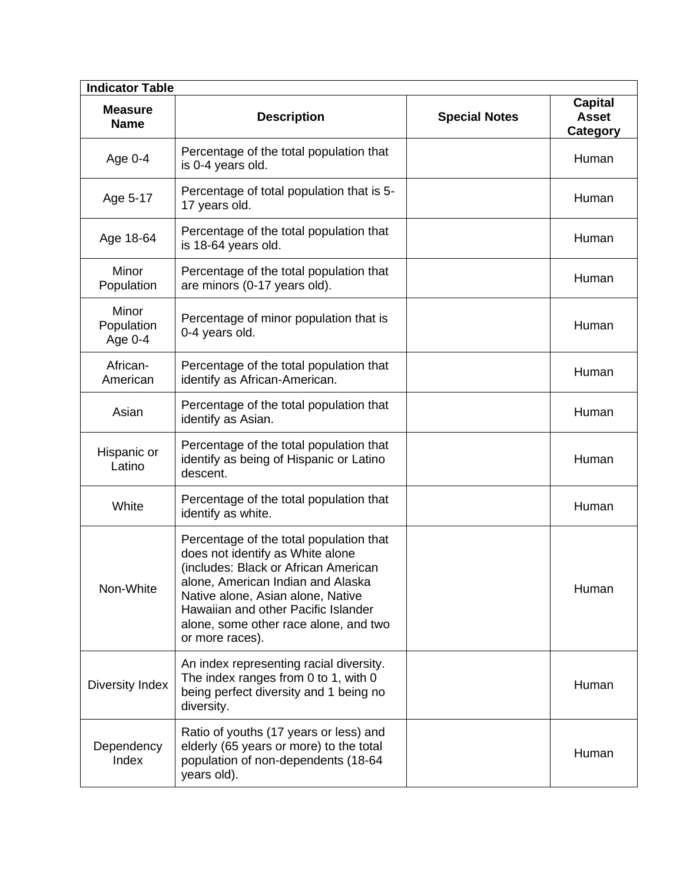| <b>Indicator Table</b>           |                                                                                                                                                                                                                                                                                                  |                      |                                                   |  |
|----------------------------------|--------------------------------------------------------------------------------------------------------------------------------------------------------------------------------------------------------------------------------------------------------------------------------------------------|----------------------|---------------------------------------------------|--|
| <b>Measure</b><br><b>Name</b>    | <b>Description</b>                                                                                                                                                                                                                                                                               | <b>Special Notes</b> | <b>Capital</b><br><b>Asset</b><br><b>Category</b> |  |
| Age 0-4                          | Percentage of the total population that<br>is 0-4 years old.                                                                                                                                                                                                                                     |                      | Human                                             |  |
| Age 5-17                         | Percentage of total population that is 5-<br>17 years old.                                                                                                                                                                                                                                       |                      | Human                                             |  |
| Age 18-64                        | Percentage of the total population that<br>is 18-64 years old.                                                                                                                                                                                                                                   |                      | Human                                             |  |
| Minor<br>Population              | Percentage of the total population that<br>are minors (0-17 years old).                                                                                                                                                                                                                          |                      | Human                                             |  |
| Minor<br>Population<br>Age $0-4$ | Percentage of minor population that is<br>0-4 years old.                                                                                                                                                                                                                                         |                      | Human                                             |  |
| African-<br>American             | Percentage of the total population that<br>identify as African-American.                                                                                                                                                                                                                         |                      | Human                                             |  |
| Asian                            | Percentage of the total population that<br>identify as Asian.                                                                                                                                                                                                                                    |                      | Human                                             |  |
| Hispanic or<br>Latino            | Percentage of the total population that<br>identify as being of Hispanic or Latino<br>descent.                                                                                                                                                                                                   |                      | Human                                             |  |
| White                            | Percentage of the total population that<br>identify as white.                                                                                                                                                                                                                                    |                      | Human                                             |  |
| Non-White                        | Percentage of the total population that<br>does not identify as White alone<br>(includes: Black or African American<br>alone, American Indian and Alaska<br>Native alone, Asian alone, Native<br>Hawaiian and other Pacific Islander<br>alone, some other race alone, and two<br>or more races). |                      | Human                                             |  |
| Diversity Index                  | An index representing racial diversity.<br>The index ranges from 0 to 1, with 0<br>being perfect diversity and 1 being no<br>diversity.                                                                                                                                                          |                      | Human                                             |  |
| Dependency<br>Index              | Ratio of youths (17 years or less) and<br>elderly (65 years or more) to the total<br>population of non-dependents (18-64<br>years old).                                                                                                                                                          |                      | Human                                             |  |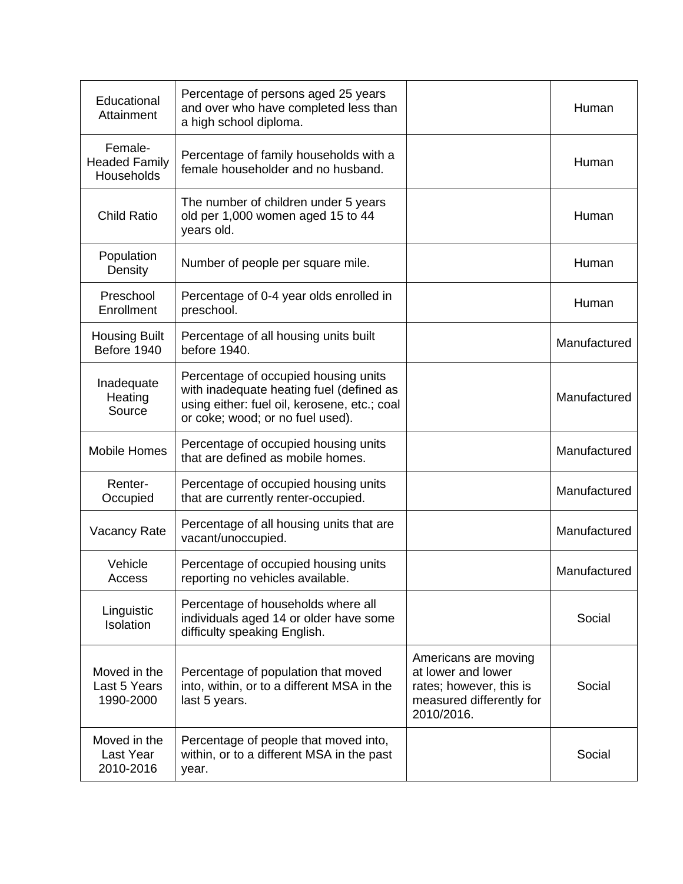| Educational<br>Attainment                     | Percentage of persons aged 25 years<br>and over who have completed less than<br>a high school diploma.                                                               |                                                                                                                 | Human        |
|-----------------------------------------------|----------------------------------------------------------------------------------------------------------------------------------------------------------------------|-----------------------------------------------------------------------------------------------------------------|--------------|
| Female-<br><b>Headed Family</b><br>Households | Percentage of family households with a<br>female householder and no husband.                                                                                         |                                                                                                                 | Human        |
| <b>Child Ratio</b>                            | The number of children under 5 years<br>old per 1,000 women aged 15 to 44<br>years old.                                                                              |                                                                                                                 | Human        |
| Population<br>Density                         | Number of people per square mile.                                                                                                                                    |                                                                                                                 | Human        |
| Preschool<br>Enrollment                       | Percentage of 0-4 year olds enrolled in<br>preschool.                                                                                                                |                                                                                                                 | Human        |
| <b>Housing Built</b><br>Before 1940           | Percentage of all housing units built<br>before 1940.                                                                                                                |                                                                                                                 | Manufactured |
| Inadequate<br>Heating<br>Source               | Percentage of occupied housing units<br>with inadequate heating fuel (defined as<br>using either: fuel oil, kerosene, etc.; coal<br>or coke; wood; or no fuel used). |                                                                                                                 | Manufactured |
| <b>Mobile Homes</b>                           | Percentage of occupied housing units<br>that are defined as mobile homes.                                                                                            |                                                                                                                 | Manufactured |
| Renter-<br>Occupied                           | Percentage of occupied housing units<br>that are currently renter-occupied.                                                                                          |                                                                                                                 | Manufactured |
| <b>Vacancy Rate</b>                           | Percentage of all housing units that are<br>vacant/unoccupied.                                                                                                       |                                                                                                                 | Manufactured |
| Vehicle<br>Access                             | Percentage of occupied housing units<br>reporting no vehicles available                                                                                              |                                                                                                                 | Manufactured |
| Linguistic<br>Isolation                       | Percentage of households where all<br>individuals aged 14 or older have some<br>difficulty speaking English.                                                         |                                                                                                                 | Social       |
| Moved in the<br>Last 5 Years<br>1990-2000     | Percentage of population that moved<br>into, within, or to a different MSA in the<br>last 5 years.                                                                   | Americans are moving<br>at lower and lower<br>rates; however, this is<br>measured differently for<br>2010/2016. | Social       |
| Moved in the<br>Last Year<br>2010-2016        | Percentage of people that moved into,<br>within, or to a different MSA in the past<br>year.                                                                          |                                                                                                                 | Social       |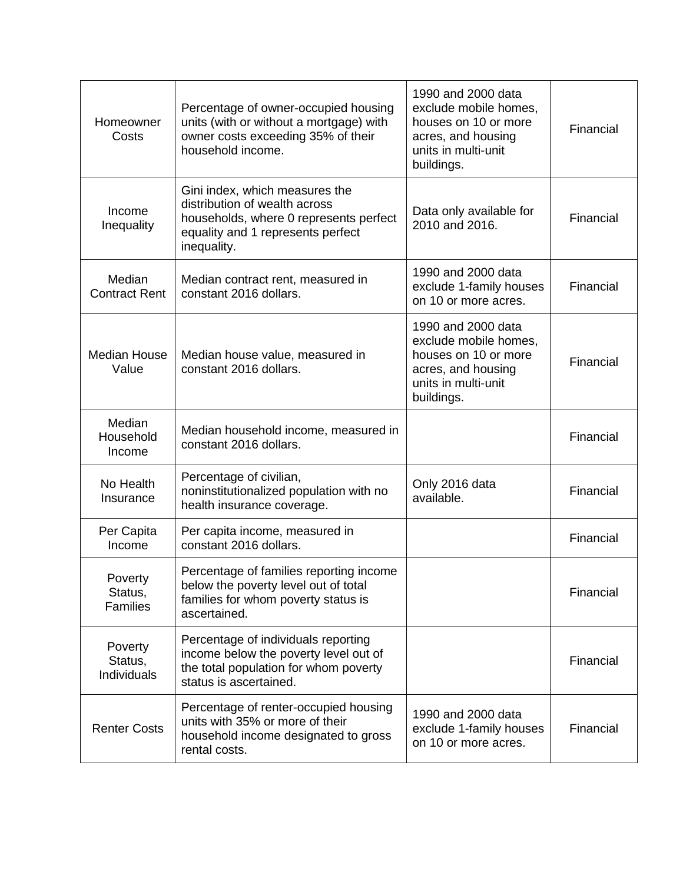| Homeowner<br>Costs                       | Percentage of owner-occupied housing<br>units (with or without a mortgage) with<br>owner costs exceeding 35% of their<br>household income.                    | 1990 and 2000 data<br>exclude mobile homes,<br>houses on 10 or more<br>acres, and housing<br>units in multi-unit<br>buildings. | Financial |
|------------------------------------------|---------------------------------------------------------------------------------------------------------------------------------------------------------------|--------------------------------------------------------------------------------------------------------------------------------|-----------|
| Income<br>Inequality                     | Gini index, which measures the<br>distribution of wealth across<br>households, where 0 represents perfect<br>equality and 1 represents perfect<br>inequality. | Data only available for<br>2010 and 2016.                                                                                      | Financial |
| Median<br><b>Contract Rent</b>           | Median contract rent, measured in<br>constant 2016 dollars.                                                                                                   | 1990 and 2000 data<br>exclude 1-family houses<br>on 10 or more acres.                                                          | Financial |
| <b>Median House</b><br>Value             | Median house value, measured in<br>constant 2016 dollars.                                                                                                     | 1990 and 2000 data<br>exclude mobile homes,<br>houses on 10 or more<br>acres, and housing<br>units in multi-unit<br>buildings. | Financial |
| Median<br>Household<br>Income            | Median household income, measured in<br>constant 2016 dollars.                                                                                                |                                                                                                                                | Financial |
| No Health<br>Insurance                   | Percentage of civilian,<br>noninstitutionalized population with no<br>health insurance coverage.                                                              | Only 2016 data<br>available.                                                                                                   | Financial |
| Per Capita<br>Income                     | Per capita income, measured in<br>constant 2016 dollars.                                                                                                      |                                                                                                                                | Financial |
| Poverty<br>Status,<br><b>Families</b>    | Percentage of families reporting income<br>below the poverty level out of total<br>families for whom poverty status is<br>ascertained.                        |                                                                                                                                | Financial |
| <b>Poverty</b><br>Status,<br>Individuals | Percentage of individuals reporting<br>income below the poverty level out of<br>the total population for whom poverty<br>status is ascertained.               |                                                                                                                                | Financial |
| <b>Renter Costs</b>                      | Percentage of renter-occupied housing<br>units with 35% or more of their<br>household income designated to gross<br>rental costs.                             | 1990 and 2000 data<br>exclude 1-family houses<br>on 10 or more acres.                                                          | Financial |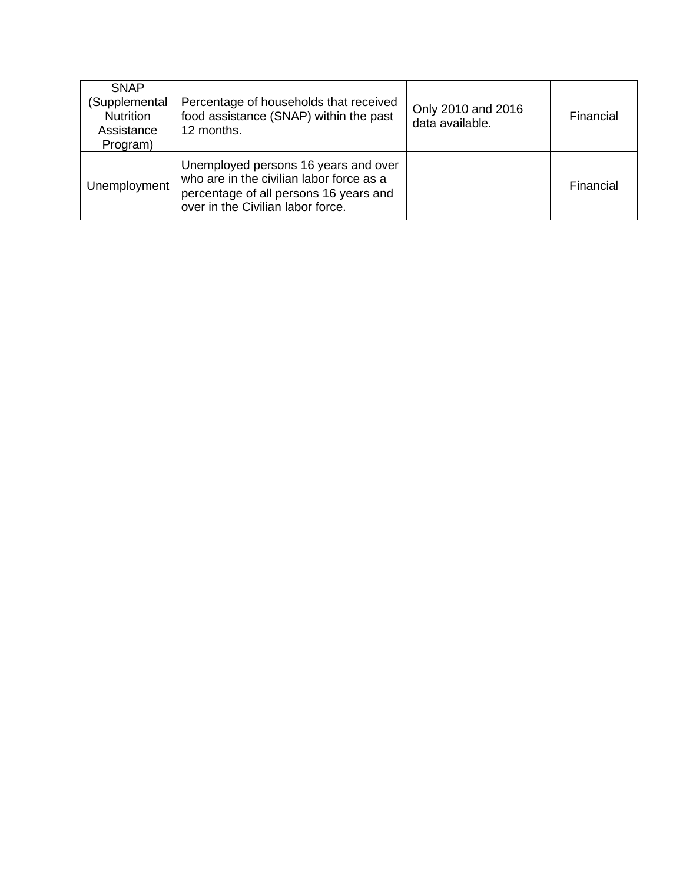| <b>SNAP</b><br>(Supplemental<br><b>Nutrition</b><br>Assistance<br>Program) | Percentage of households that received<br>food assistance (SNAP) within the past<br>12 months.                                                                  | Only 2010 and 2016<br>data available. | Financial |
|----------------------------------------------------------------------------|-----------------------------------------------------------------------------------------------------------------------------------------------------------------|---------------------------------------|-----------|
| Unemployment                                                               | Unemployed persons 16 years and over<br>who are in the civilian labor force as a<br>percentage of all persons 16 years and<br>over in the Civilian labor force. |                                       | Financial |